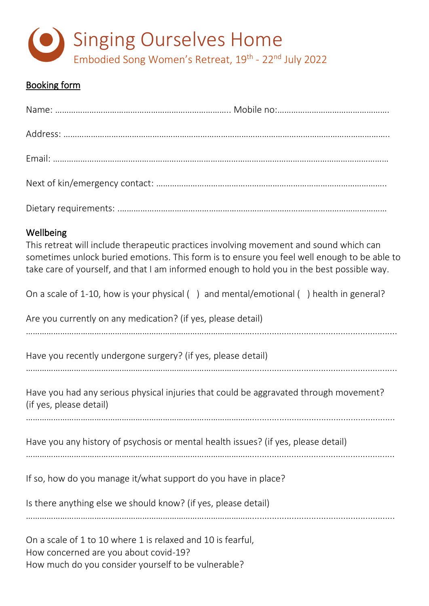

## Booking form

| Wellbeing<br>This retreat will include therapeutic practices involving movement and sound which can<br>sometimes unlock buried emotions. This form is to ensure you feel well enough to be able to<br>take care of yourself, and that I am informed enough to hold you in the best possible way. |
|--------------------------------------------------------------------------------------------------------------------------------------------------------------------------------------------------------------------------------------------------------------------------------------------------|
| On a scale of 1-10, how is your physical () and mental/emotional () health in general?                                                                                                                                                                                                           |
| Are you currently on any medication? (if yes, please detail)                                                                                                                                                                                                                                     |
| Have you recently undergone surgery? (if yes, please detail)                                                                                                                                                                                                                                     |
| Have you had any serious physical injuries that could be aggravated through movement?<br>(if yes, please detail)                                                                                                                                                                                 |
| Have you any history of psychosis or mental health issues? (if yes, please detail)                                                                                                                                                                                                               |
| If so, how do you manage it/what support do you have in place?                                                                                                                                                                                                                                   |
| Is there anything else we should know? (if yes, please detail)                                                                                                                                                                                                                                   |

………………………………………………………………………………………..........................................................

On a scale of 1 to 10 where 1 is relaxed and 10 is fearful, How concerned are you about covid-19? How much do you consider yourself to be vulnerable?